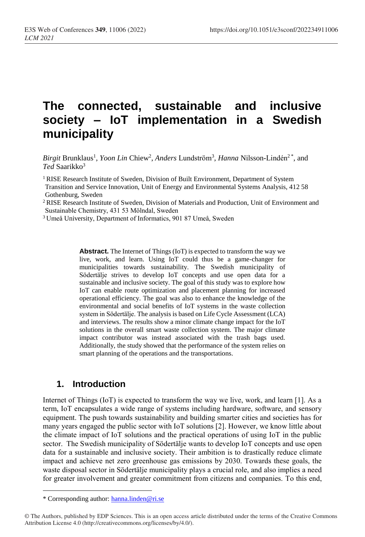# **The connected, sustainable and inclusive society – IoT implementation in a Swedish municipality**

Birgit Brunklaus<sup>1</sup>, *Yoon Lin* Chiew<sup>2</sup>, *Anders L*undström<sup>3</sup>, *Hanna* Nilsson-Lindén<sup>2\*</sup>, and *Ted* Saarikko<sup>3</sup>

<sup>1</sup> RISE Research Institute of Sweden, Division of Built Environment, Department of System

Transition and Service Innovation, Unit of Energy and Environmental Systems Analysis, 412 58 Gothenburg, Sweden

<sup>2</sup>RISE Research Institute of Sweden, Division of Materials and Production, Unit of Environment and Sustainable Chemistry, 431 53 Mölndal, Sweden

<sup>3</sup>Umeå University, Department of Informatics, 901 87 Umeå, Sweden

**Abstract.** The Internet of Things (IoT) is expected to transform the way we live, work, and learn. Using IoT could thus be a game-changer for municipalities towards sustainability. The Swedish municipality of Södertälje strives to develop IoT concepts and use open data for a sustainable and inclusive society. The goal of this study was to explore how IoT can enable route optimization and placement planning for increased operational efficiency. The goal was also to enhance the knowledge of the environmental and social benefits of IoT systems in the waste collection system in Södertälje. The analysis is based on Life Cycle Assessment (LCA) and interviews. The results show a minor climate change impact for the IoT solutions in the overall smart waste collection system. The major climate impact contributor was instead associated with the trash bags used. Additionally, the study showed that the performance of the system relies on smart planning of the operations and the transportations.

## **1. Introduction**

Internet of Things (IoT) is expected to transform the way we live, work, and learn [1]. As a term, IoT encapsulates a wide range of systems including hardware, software, and sensory equipment. The push towards sustainability and building smarter cities and societies has for many years engaged the public sector with IoT solutions [2]. However, we know little about the climate impact of IoT solutions and the practical operations of using IoT in the public sector. The Swedish municipality of Södertälje wants to develop IoT concepts and use open data for a sustainable and inclusive society. Their ambition is to drastically reduce climate impact and achieve net zero greenhouse gas emissions by 2030. Towards these goals, the waste disposal sector in Södertälje municipality plays a crucial role, and also implies a need for greater involvement and greater commitment from citizens and companies. To this end,

 $\overline{a}$ 

<sup>\*</sup> Corresponding author: [hanna.linden@ri.se](mailto:hanna.linden@ri.se)

<sup>©</sup> The Authors, published by EDP Sciences. This is an open access article distributed under the terms of the Creative Commons Attribution License 4.0 (http://creativecommons.org/licenses/by/4.0/).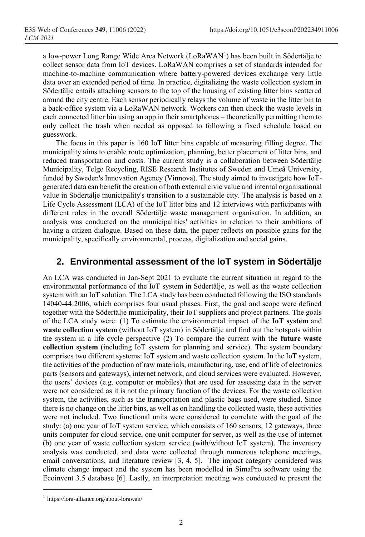a low-power Long Range Wide Area Network (LoRaWAN<sup>1</sup>) has been built in Södertälje to collect sensor data from IoT devices. LoRaWAN comprises a set of standards intended for machine-to-machine communication where battery-powered devices exchange very little data over an extended period of time. In practice, digitalizing the waste collection system in Södertälje entails attaching sensors to the top of the housing of existing litter bins scattered around the city centre. Each sensor periodically relays the volume of waste in the litter bin to a back-office system via a LoRaWAN network. Workers can then check the waste levels in each connected litter bin using an app in their smartphones – theoretically permitting them to only collect the trash when needed as opposed to following a fixed schedule based on guesswork.

The focus in this paper is 160 IoT litter bins capable of measuring filling degree. The municipality aims to enable route optimization, planning, better placement of litter bins, and reduced transportation and costs. The current study is a collaboration between Södertälje Municipality, Telge Recycling, RISE Research Institutes of Sweden and Umeå University, funded by Sweden's Innovation Agency (Vinnova). The study aimed to investigate how IoTgenerated data can benefit the creation of both external civic value and internal organisational value in Södertälje municipality's transition to a sustainable city. The analysis is based on a Life Cycle Assessment (LCA) of the IoT litter bins and 12 interviews with participants with different roles in the overall Södertälje waste management organisation. In addition, an analysis was conducted on the municipalities' activities in relation to their ambitions of having a citizen dialogue. Based on these data, the paper reflects on possible gains for the municipality, specifically environmental, process, digitalization and social gains.

### **2. Environmental assessment of the IoT system in Södertälje**

An LCA was conducted in Jan-Sept 2021 to evaluate the current situation in regard to the environmental performance of the IoT system in Södertälje, as well as the waste collection system with an IoT solution. The LCA study has been conducted following the ISO standards 14040-44:2006, which comprises four usual phases. First, the goal and scope were defined together with the Södertälje municipality, their IoT suppliers and project partners. The goals of the LCA study were: (1) To estimate the environmental impact of the **IoT system** and **waste collection system** (without IoT system) in Södertälje and find out the hotspots within the system in a life cycle perspective (2) To compare the current with the **future waste collection system** (including IoT system for planning and service). The system boundary comprises two different systems: IoT system and waste collection system. In the IoT system, the activities of the production of raw materials, manufacturing, use, end of life of electronics parts (sensors and gateways), internet network, and cloud services were evaluated. However, the users' devices (e.g. computer or mobiles) that are used for assessing data in the server were not considered as it is not the primary function of the devices. For the waste collection system, the activities, such as the transportation and plastic bags used, were studied. Since there is no change on the litter bins, as well as on handling the collected waste, these activities were not included. Two functional units were considered to correlate with the goal of the study: (a) one year of IoT system service, which consists of 160 sensors, 12 gateways, three units computer for cloud service, one unit computer for server, as well as the use of internet (b) one year of waste collection system service (with/without IoT system). The inventory analysis was conducted, and data were collected through numerous telephone meetings, email conversations, and literature review [3, 4, 5]. The impact category considered was climate change impact and the system has been modelled in SimaPro software using the Ecoinvent 3.5 database [6]. Lastly, an interpretation meeting was conducted to present the

 $\overline{a}$ 

<sup>1</sup> https://lora-alliance.org/about-lorawan/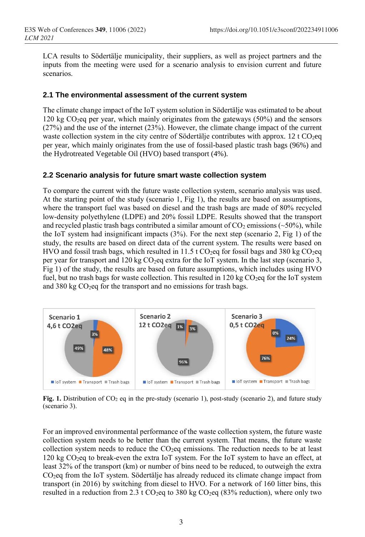LCA results to Södertälje municipality, their suppliers, as well as project partners and the inputs from the meeting were used for a scenario analysis to envision current and future scenarios.

#### **2.1 The environmental assessment of the current system**

The climate change impact of the IoT system solution in Södertälje was estimated to be about 120 kg  $CO<sub>2</sub>$ eq per year, which mainly originates from the gateways (50%) and the sensors (27%) and the use of the internet (23%). However, the climate change impact of the current waste collection system in the city centre of Södertälje contributes with approx. 12 t  $CO<sub>2</sub>$ eq per year, which mainly originates from the use of fossil-based plastic trash bags (96%) and the Hydrotreated Vegetable Oil (HVO) based transport (4%).

#### **2.2 Scenario analysis for future smart waste collection system**

To compare the current with the future waste collection system, scenario analysis was used. At the starting point of the study (scenario 1, Fig 1), the results are based on assumptions, where the transport fuel was based on diesel and the trash bags are made of 80% recycled low-density polyethylene (LDPE) and 20% fossil LDPE. Results showed that the transport and recycled plastic trash bags contributed a similar amount of  $CO<sub>2</sub>$  emissions (~50%), while the IoT system had insignificant impacts (3%). For the next step (scenario 2, Fig 1) of the study, the results are based on direct data of the current system. The results were based on HVO and fossil trash bags, which resulted in 11.5 t CO<sub>2</sub>eq for fossil bags and 380 kg CO<sub>2</sub>eq per year for transport and 120 kg CO2eq extra for the IoT system. In the last step (scenario 3, Fig 1) of the study, the results are based on future assumptions, which includes using HVO fuel, but no trash bags for waste collection. This resulted in  $120 \text{ kg CO}_2$ eq for the IoT system and  $380 \text{ kg CO}_2$ eq for the transport and no emissions for trash bags.



**Fig. 1.** Distribution of CO<sub>2</sub> eq in the pre-study (scenario 1), post-study (scenario 2), and future study (scenario 3).

For an improved environmental performance of the waste collection system, the future waste collection system needs to be better than the current system. That means, the future waste collection system needs to reduce the  $CO<sub>2</sub>$ eq emissions. The reduction needs to be at least 120 kg  $CO<sub>2</sub>$ eq to break-even the extra IoT system. For the IoT system to have an effect, at least 32% of the transport (km) or number of bins need to be reduced, to outweigh the extra CO2eq from the IoT system. Södertälje has already reduced its climate change impact from transport (in 2016) by switching from diesel to HVO. For a network of 160 litter bins, this resulted in a reduction from 2.3 t CO<sub>2</sub>eq to 380 kg CO<sub>2</sub>eq (83% reduction), where only two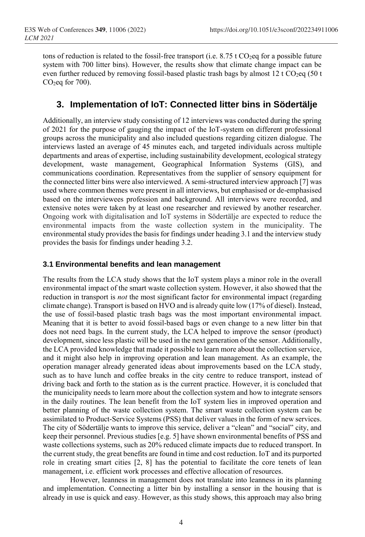tons of reduction is related to the fossil-free transport (i.e.  $8.75$  t CO<sub>2</sub>eq for a possible future system with 700 litter bins). However, the results show that climate change impact can be even further reduced by removing fossil-based plastic trash bags by almost 12 t  $CO<sub>2</sub>eq$  (50 t  $CO<sub>2</sub>$ eq for 700).

## **3. Implementation of IoT: Connected litter bins in Södertälje**

Additionally, an interview study consisting of 12 interviews was conducted during the spring of 2021 for the purpose of gauging the impact of the IoT-system on different professional groups across the municipality and also included questions regarding citizen dialogue. The interviews lasted an average of 45 minutes each, and targeted individuals across multiple departments and areas of expertise, including sustainability development, ecological strategy development, waste management, Geographical Information Systems (GIS), and communications coordination. Representatives from the supplier of sensory equipment for the connected litter bins were also interviewed. A semi-structured interview approach [7] was used where common themes were present in all interviews, but emphasised or de-emphasised based on the interviewees profession and background. All interviews were recorded, and extensive notes were taken by at least one researcher and reviewed by another researcher. Ongoing work with digitalisation and IoT systems in Södertälje are expected to reduce the environmental impacts from the waste collection system in the municipality. The environmental study provides the basis for findings under heading 3.1 and the interview study provides the basis for findings under heading 3.2.

#### **3.1 Environmental benefits and lean management**

The results from the LCA study shows that the IoT system plays a minor role in the overall environmental impact of the smart waste collection system. However, it also showed that the reduction in transport is *not* the most significant factor for environmental impact (regarding climate change). Transport is based on HVO and is already quite low (17% of diesel). Instead, the use of fossil-based plastic trash bags was the most important environmental impact. Meaning that it is better to avoid fossil-based bags or even change to a new litter bin that does not need bags. In the current study, the LCA helped to improve the sensor (product) development, since less plastic will be used in the next generation of the sensor. Additionally, the LCA provided knowledge that made it possible to learn more about the collection service, and it might also help in improving operation and lean management. As an example, the operation manager already generated ideas about improvements based on the LCA study, such as to have lunch and coffee breaks in the city centre to reduce transport, instead of driving back and forth to the station as is the current practice. However, it is concluded that the municipality needs to learn more about the collection system and how to integrate sensors in the daily routines. The lean benefit from the IoT system lies in improved operation and better planning of the waste collection system. The smart waste collection system can be assimilated to Product-Service Systems (PSS) that deliver values in the form of new services. The city of Södertälje wants to improve this service, deliver a "clean" and "social" city, and keep their personnel. Previous studies [e.g. 5] have shown environmental benefits of PSS and waste collections systems, such as 20% reduced climate impacts due to reduced transport. In the current study, the great benefits are found in time and cost reduction. IoT and its purported role in creating smart cities [2, 8] has the potential to facilitate the core tenets of lean management, i.e. efficient work processes and effective allocation of resources.

However, leanness in management does not translate into leanness in its planning and implementation. Connecting a litter bin by installing a sensor in the housing that is already in use is quick and easy. However, as this study shows, this approach may also bring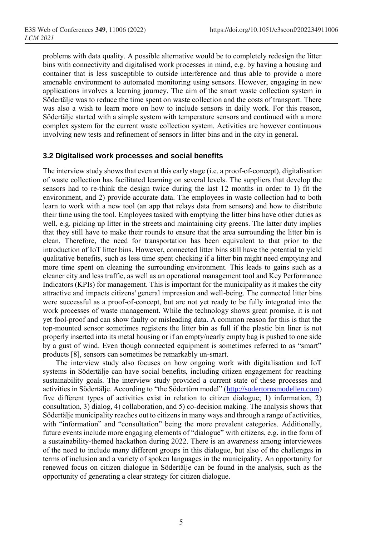problems with data quality. A possible alternative would be to completely redesign the litter bins with connectivity and digitalised work processes in mind, e.g. by having a housing and container that is less susceptible to outside interference and thus able to provide a more amenable environment to automated monitoring using sensors. However, engaging in new applications involves a learning journey. The aim of the smart waste collection system in Södertälje was to reduce the time spent on waste collection and the costs of transport. There was also a wish to learn more on how to include sensors in daily work. For this reason, Södertälje started with a simple system with temperature sensors and continued with a more complex system for the current waste collection system. Activities are however continuous involving new tests and refinement of sensors in litter bins and in the city in general.

#### **3.2 Digitalised work processes and social benefits**

The interview study shows that even at this early stage (i.e. a proof-of-concept), digitalisation of waste collection has facilitated learning on several levels. The suppliers that develop the sensors had to re-think the design twice during the last 12 months in order to 1) fit the environment, and 2) provide accurate data. The employees in waste collection had to both learn to work with a new tool (an app that relays data from sensors) and how to distribute their time using the tool. Employees tasked with emptying the litter bins have other duties as well, e.g. picking up litter in the streets and maintaining city greens. The latter duty implies that they still have to make their rounds to ensure that the area surrounding the litter bin is clean. Therefore, the need for transportation has been equivalent to that prior to the introduction of IoT litter bins. However, connected litter bins still have the potential to yield qualitative benefits, such as less time spent checking if a litter bin might need emptying and more time spent on cleaning the surrounding environment. This leads to gains such as a cleaner city and less traffic, as well as an operational management tool and Key Performance Indicators (KPIs) for management. This is important for the municipality as it makes the city attractive and impacts citizens' general impression and well-being. The connected litter bins were successful as a proof-of-concept, but are not yet ready to be fully integrated into the work processes of waste management. While the technology shows great promise, it is not yet fool-proof and can show faulty or misleading data. A common reason for this is that the top-mounted sensor sometimes registers the litter bin as full if the plastic bin liner is not properly inserted into its metal housing or if an empty/nearly empty bag is pushed to one side by a gust of wind. Even though connected equipment is sometimes referred to as "smart" products [8], sensors can sometimes be remarkably un-smart.

The interview study also focuses on how ongoing work with digitalisation and IoT systems in Södertälje can have social benefits, including citizen engagement for reaching sustainability goals. The interview study provided a current state of these processes and activities in Södertälje. According to "the Södertörn model" ([http://sodertornsmodellen.com](http://sodertornsmodellen.com/)) five different types of activities exist in relation to citizen dialogue; 1) information, 2) consultation, 3) dialog, 4) collaboration, and 5) co-decision making. The analysis shows that Södertälje municipality reaches out to citizens in many ways and through a range of activities, with "information" and "consultation" being the more prevalent categories. Additionally, future events include more engaging elements of "dialogue" with citizens, e.g. in the form of a sustainability-themed hackathon during 2022. There is an awareness among interviewees of the need to include many different groups in this dialogue, but also of the challenges in terms of inclusion and a variety of spoken languages in the municipality. An opportunity for renewed focus on citizen dialogue in Södertälje can be found in the analysis, such as the opportunity of generating a clear strategy for citizen dialogue.